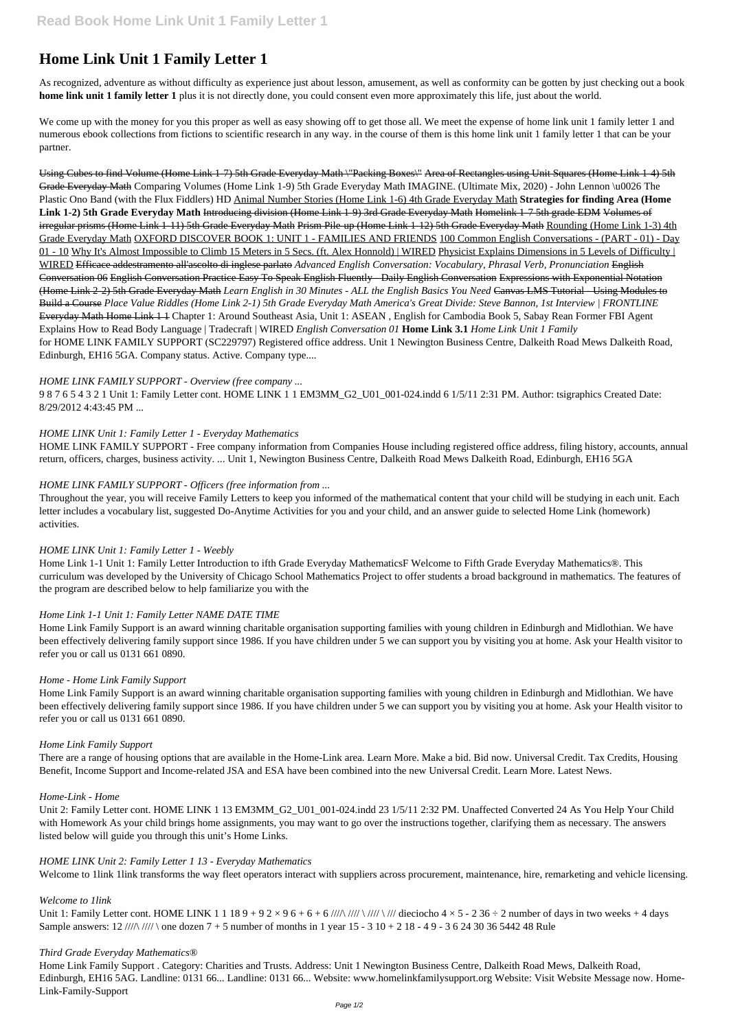# **Home Link Unit 1 Family Letter 1**

As recognized, adventure as without difficulty as experience just about lesson, amusement, as well as conformity can be gotten by just checking out a book **home link unit 1 family letter 1** plus it is not directly done, you could consent even more approximately this life, just about the world.

We come up with the money for you this proper as well as easy showing off to get those all. We meet the expense of home link unit 1 family letter 1 and numerous ebook collections from fictions to scientific research in any way. in the course of them is this home link unit 1 family letter 1 that can be your partner.

Using Cubes to find Volume (Home Link 1-7) 5th Grade Everyday Math \"Packing Boxes\" Area of Rectangles using Unit Squares (Home Link 1-4) 5th Grade Everyday Math Comparing Volumes (Home Link 1-9) 5th Grade Everyday Math IMAGINE. (Ultimate Mix, 2020) - John Lennon \u0026 The Plastic Ono Band (with the Flux Fiddlers) HD Animal Number Stories (Home Link 1-6) 4th Grade Everyday Math **Strategies for finding Area (Home Link 1-2) 5th Grade Everyday Math** Introducing division (Home Link 1-9) 3rd Grade Everyday Math Homelink 1-7 5th grade EDM Volumes of irregular prisms (Home Link 1-11) 5th Grade Everyday Math Prism Pile-up (Home Link 1-12) 5th Grade Everyday Math Rounding (Home Link 1-3) 4th Grade Everyday Math OXFORD DISCOVER BOOK 1: UNIT 1 - FAMILIES AND FRIENDS 100 Common English Conversations - (PART - 01) - Day 01 - 10 Why It's Almost Impossible to Climb 15 Meters in 5 Secs. (ft. Alex Honnold) | WIRED Physicist Explains Dimensions in 5 Levels of Difficulty | WIRED Efficace addestramento all'ascolto di inglese parlato *Advanced English Conversation: Vocabulary, Phrasal Verb, Pronunciation* English Conversation 06 English Conversation Practice Easy To Speak English Fluently - Daily English Conversation Expressions with Exponential Notation (Home Link 2-2) 5th Grade Everyday Math *Learn English in 30 Minutes - ALL the English Basics You Need* Canvas LMS Tutorial - Using Modules to Build a Course *Place Value Riddles (Home Link 2-1) 5th Grade Everyday Math America's Great Divide: Steve Bannon, 1st Interview | FRONTLINE* Everyday Math Home Link 1 1 Chapter 1: Around Southeast Asia, Unit 1: ASEAN , English for Cambodia Book 5, Sabay Rean Former FBI Agent Explains How to Read Body Language | Tradecraft | WIRED *English Conversation 01* **Home Link 3.1** *Home Link Unit 1 Family* for HOME LINK FAMILY SUPPORT (SC229797) Registered office address. Unit 1 Newington Business Centre, Dalkeith Road Mews Dalkeith Road, Edinburgh, EH16 5GA. Company status. Active. Company type....

## *HOME LINK FAMILY SUPPORT - Overview (free company ...*

9 8 7 6 5 4 3 2 1 Unit 1: Family Letter cont. HOME LINK 1 1 EM3MM\_G2\_U01\_001-024.indd 6 1/5/11 2:31 PM. Author: tsigraphics Created Date: 8/29/2012 4:43:45 PM ...

# *HOME LINK Unit 1: Family Letter 1 - Everyday Mathematics*

HOME LINK FAMILY SUPPORT - Free company information from Companies House including registered office address, filing history, accounts, annual return, officers, charges, business activity. ... Unit 1, Newington Business Centre, Dalkeith Road Mews Dalkeith Road, Edinburgh, EH16 5GA

# *HOME LINK FAMILY SUPPORT - Officers (free information from ...*

Throughout the year, you will receive Family Letters to keep you informed of the mathematical content that your child will be studying in each unit. Each letter includes a vocabulary list, suggested Do-Anytime Activities for you and your child, and an answer guide to selected Home Link (homework) activities.

## *HOME LINK Unit 1: Family Letter 1 - Weebly*

Home Link 1-1 Unit 1: Family Letter Introduction to ifth Grade Everyday MathematicsF Welcome to Fifth Grade Everyday Mathematics®. This curriculum was developed by the University of Chicago School Mathematics Project to offer students a broad background in mathematics. The features of the program are described below to help familiarize you with the

## *Home Link 1-1 Unit 1: Family Letter NAME DATE TIME*

Home Link Family Support is an award winning charitable organisation supporting families with young children in Edinburgh and Midlothian. We have been effectively delivering family support since 1986. If you have children under 5 we can support you by visiting you at home. Ask your Health visitor to refer you or call us 0131 661 0890.

## *Home - Home Link Family Support*

Home Link Family Support is an award winning charitable organisation supporting families with young children in Edinburgh and Midlothian. We have been effectively delivering family support since 1986. If you have children under 5 we can support you by visiting you at home. Ask your Health visitor to refer you or call us 0131 661 0890.

## *Home Link Family Support*

There are a range of housing options that are available in the Home-Link area. Learn More. Make a bid. Bid now. Universal Credit. Tax Credits, Housing Benefit, Income Support and Income-related JSA and ESA have been combined into the new Universal Credit. Learn More. Latest News.

#### *Home-Link - Home*

Unit 2: Family Letter cont. HOME LINK 1 13 EM3MM\_G2\_U01\_001-024.indd 23 1/5/11 2:32 PM. Unaffected Converted 24 As You Help Your Child with Homework As your child brings home assignments, you may want to go over the instructions together, clarifying them as necessary. The answers listed below will guide you through this unit's Home Links.

*HOME LINK Unit 2: Family Letter 1 13 - Everyday Mathematics*

Welcome to 1 link 1 link transforms the way fleet operators interact with suppliers across procurement, maintenance, hire, remarketing and vehicle licensing.

### *Welcome to 1link*

Unit 1: Family Letter cont. HOME LINK 1 1 18 9 + 9 2 × 9 6 + 6 + 6 ////\ //// \ //// \ /// dieciocho 4 × 5 - 2 36 ÷ 2 number of days in two weeks + 4 days Sample answers:  $12 \frac{1}{11}$  //// \ one dozen 7 + 5 number of months in 1 year 15 - 3 10 + 2 18 - 4 9 - 3 6 24 30 36 5442 48 Rule

## *Third Grade Everyday Mathematics®*

Home Link Family Support . Category: Charities and Trusts. Address: Unit 1 Newington Business Centre, Dalkeith Road Mews, Dalkeith Road, Edinburgh, EH16 5AG. Landline: 0131 66... Landline: 0131 66... Website: www.homelinkfamilysupport.org Website: Visit Website Message now. Home-Link-Family-Support